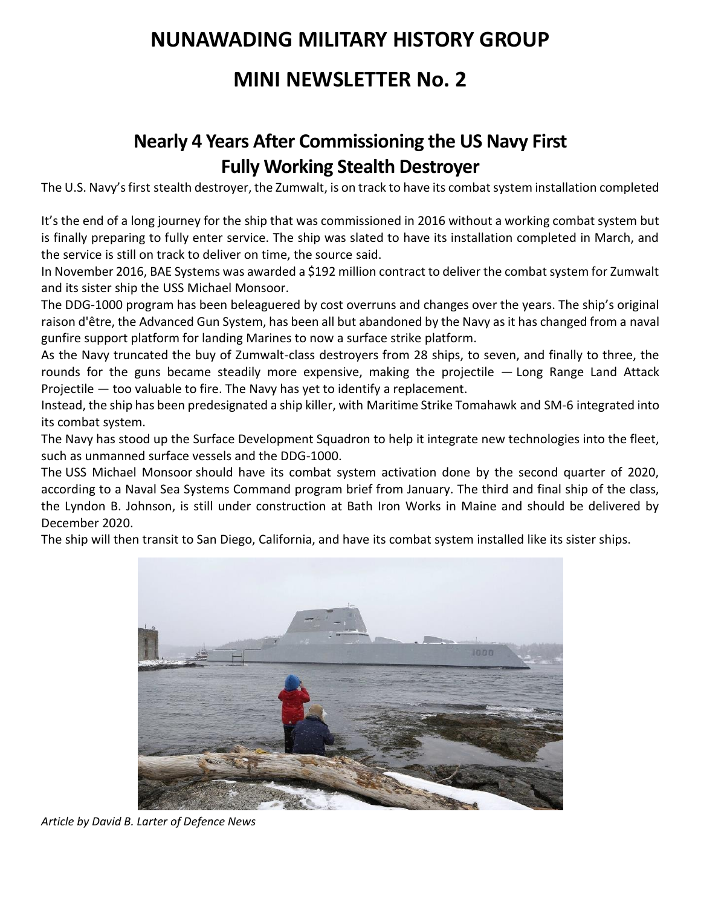## **NUNAWADING MILITARY HISTORY GROUP**

## **MINI NEWSLETTER No. 2**

## **Nearly 4 Years After Commissioning the US Navy First Fully Working Stealth Destroyer**

The U.S. Navy's first [stealth destroyer, the Zumwalt,](https://www.google.com/search?rlz=1C1GUAJ_enUS804US804&sxsrf=ALeKk03FVqw5kMhYyIiZ_EsHj4rxdCi8wQ%3A1585333632165&ei=gEV-XtHZCZqLytMPksiGkAw&q=Zumwalt+site%3Adefensenews.com&oq=Zumwalt+site%3Adefensenews.com&gs_lcp=CgZwc3ktYWIQAzoECAAQR1DG2BpYm90aYJPjGmgAcAJ4AIABR4gBiAGSAQEymAEAoAEBqgEHZ3dzLXdpeg&sclient=psy-ab&ved=0ahUKEwjRmfv_o7voAhWahXIEHRKkAcIQ4dUDCAs&uact=5) is on track to have its combat system installation completed

It's the end of a long journey for the ship that was commissioned in 2016 without a working combat system but is finally preparing to fully enter service. The ship was slated to have its installation completed in March, and the service is still on track to deliver on time, the source said.

In November 2016, BAE Systems was awarded a \$192 million contract to deliver the combat system for Zumwalt and its sister ship the USS Michael Monsoor.

The [DDG-1000 program has been beleaguered](https://www.defensenews.com/naval/2018/04/19/advanced-gun-system-was-holding-back-the-navys-new-stealth-destroyer/) by cost overruns and changes over the years. The ship's original raison d'être, the Advanced Gun System, has been all but abandoned by the Navy as it has changed from a naval gunfire support platform for landing Marines to now a surface strike platform.

As the Navy truncated the buy of Zumwalt-class destroyers from 28 ships, to seven, and finally to three, the rounds for the guns became steadily more expensive, making the projectile — [Long Range Land Attack](https://www.defensenews.com/breaking-news/2016/11/07/new-warships-big-guns-have-no-bullets/)  [Projectile](https://www.defensenews.com/breaking-news/2016/11/07/new-warships-big-guns-have-no-bullets/) — too valuable to fire. The Navy has yet to identify a replacement.

Instead, the ship has been predesignated a ship killer, with [Maritime Strike Tomahawk](https://www.defensenews.com/naval/2020/02/11/as-china-continues-rapid-naval-expansion-the-us-navy-begins-stockpiling-ship-killing-missiles/) and [SM-6](https://www.defensenews.com/2016/02/03/pentagon-budget-requests-2b-for-tomahawks-2-9b-for-sm-6/) integrated into its combat system.

The Navy has stood up the [Surface Development Squadron](https://www.defensenews.com/digital-show-dailies/navy-league/2019/05/06/with-billions-planned-in-funding-the-us-navy-charts-its-unmanned-future/) to help it integrate new technologies into the fleet, such as unmanned surface vessels and the DDG-1000.

The USS [Michael Monsoor](https://www.defensenews.com/naval/2018/04/24/us-navy-just-took-ownership-of-its-second-stealth-destroyer/) should have its combat system activation done by the second quarter of 2020, according to a Naval Sea Systems Command program brief from January. The third and final ship of the class, the Lyndon B. Johnson, is still under construction at Bath Iron Works in Maine and should be delivered by December 2020.

The ship will then transit to San Diego, California, and have its combat system installed like its sister ships.



*Article by [David B. Larter](https://www.defensenews.com/author/david-b-larter) of Defence News*